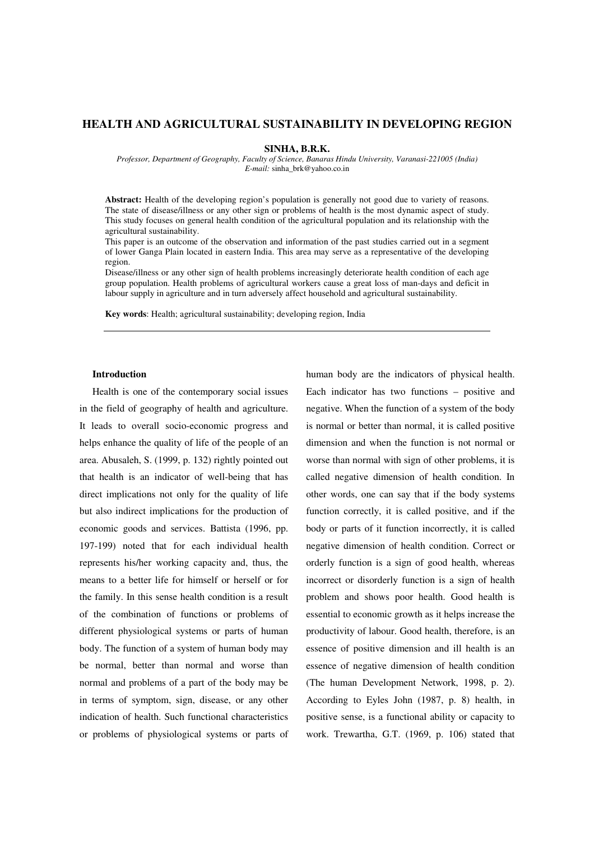## **HEALTH AND AGRICULTURAL SUSTAINABILITY IN DEVELOPING REGION**

**SINHA, B.R.K.** 

*Professor, Department of Geography, Faculty of Science, Banaras Hindu University, Varanasi-221005 (India) E-mail:* sinha\_brk@yahoo.co.in

**Abstract:** Health of the developing region's population is generally not good due to variety of reasons. The state of disease/illness or any other sign or problems of health is the most dynamic aspect of study. This study focuses on general health condition of the agricultural population and its relationship with the agricultural sustainability.

This paper is an outcome of the observation and information of the past studies carried out in a segment of lower Ganga Plain located in eastern India. This area may serve as a representative of the developing region.

Disease/illness or any other sign of health problems increasingly deteriorate health condition of each age group population. Health problems of agricultural workers cause a great loss of man-days and deficit in labour supply in agriculture and in turn adversely affect household and agricultural sustainability.

**Key words**: Health; agricultural sustainability; developing region, India

## **Introduction**

Health is one of the contemporary social issues in the field of geography of health and agriculture. It leads to overall socio-economic progress and helps enhance the quality of life of the people of an area. Abusaleh, S. (1999, p. 132) rightly pointed out that health is an indicator of well-being that has direct implications not only for the quality of life but also indirect implications for the production of economic goods and services. Battista (1996, pp. 197-199) noted that for each individual health represents his/her working capacity and, thus, the means to a better life for himself or herself or for the family. In this sense health condition is a result of the combination of functions or problems of different physiological systems or parts of human body. The function of a system of human body may be normal, better than normal and worse than normal and problems of a part of the body may be in terms of symptom, sign, disease, or any other indication of health. Such functional characteristics or problems of physiological systems or parts of human body are the indicators of physical health. Each indicator has two functions – positive and negative. When the function of a system of the body is normal or better than normal, it is called positive dimension and when the function is not normal or worse than normal with sign of other problems, it is called negative dimension of health condition. In other words, one can say that if the body systems function correctly, it is called positive, and if the body or parts of it function incorrectly, it is called negative dimension of health condition. Correct or orderly function is a sign of good health, whereas incorrect or disorderly function is a sign of health problem and shows poor health. Good health is essential to economic growth as it helps increase the productivity of labour. Good health, therefore, is an essence of positive dimension and ill health is an essence of negative dimension of health condition (The human Development Network, 1998, p. 2). According to Eyles John (1987, p. 8) health, in positive sense, is a functional ability or capacity to work. Trewartha, G.T. (1969, p. 106) stated that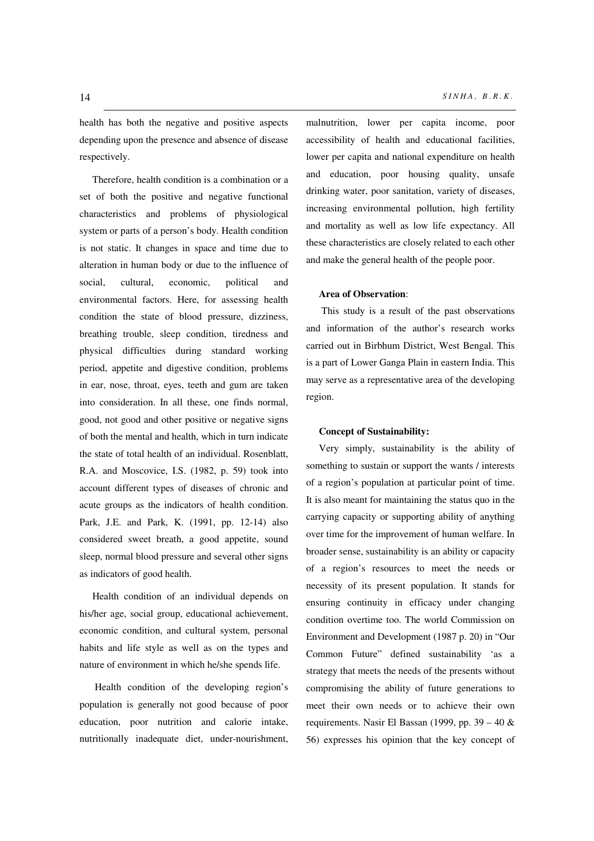health has both the negative and positive aspects depending upon the presence and absence of disease respectively.

Therefore, health condition is a combination or a set of both the positive and negative functional characteristics and problems of physiological system or parts of a person's body. Health condition is not static. It changes in space and time due to alteration in human body or due to the influence of social, cultural, economic, political and environmental factors. Here, for assessing health condition the state of blood pressure, dizziness, breathing trouble, sleep condition, tiredness and physical difficulties during standard working period, appetite and digestive condition, problems in ear, nose, throat, eyes, teeth and gum are taken into consideration. In all these, one finds normal, good, not good and other positive or negative signs of both the mental and health, which in turn indicate the state of total health of an individual. Rosenblatt, R.A. and Moscovice, I.S. (1982, p. 59) took into account different types of diseases of chronic and acute groups as the indicators of health condition. Park, J.E. and Park, K. (1991, pp. 12-14) also considered sweet breath, a good appetite, sound sleep, normal blood pressure and several other signs as indicators of good health.

Health condition of an individual depends on his/her age, social group, educational achievement, economic condition, and cultural system, personal habits and life style as well as on the types and nature of environment in which he/she spends life.

Health condition of the developing region's population is generally not good because of poor education, poor nutrition and calorie intake, nutritionally inadequate diet, under-nourishment, malnutrition, lower per capita income, poor accessibility of health and educational facilities, lower per capita and national expenditure on health and education, poor housing quality, unsafe drinking water, poor sanitation, variety of diseases, increasing environmental pollution, high fertility and mortality as well as low life expectancy. All these characteristics are closely related to each other and make the general health of the people poor.

### **Area of Observation**:

 This study is a result of the past observations and information of the author's research works carried out in Birbhum District, West Bengal. This is a part of Lower Ganga Plain in eastern India. This may serve as a representative area of the developing region.

## **Concept of Sustainability:**

Very simply, sustainability is the ability of something to sustain or support the wants / interests of a region's population at particular point of time. It is also meant for maintaining the status quo in the carrying capacity or supporting ability of anything over time for the improvement of human welfare. In broader sense, sustainability is an ability or capacity of a region's resources to meet the needs or necessity of its present population. It stands for ensuring continuity in efficacy under changing condition overtime too. The world Commission on Environment and Development (1987 p. 20) in "Our Common Future" defined sustainability 'as a strategy that meets the needs of the presents without compromising the ability of future generations to meet their own needs or to achieve their own requirements. Nasir El Bassan (1999, pp. 39 – 40 & 56) expresses his opinion that the key concept of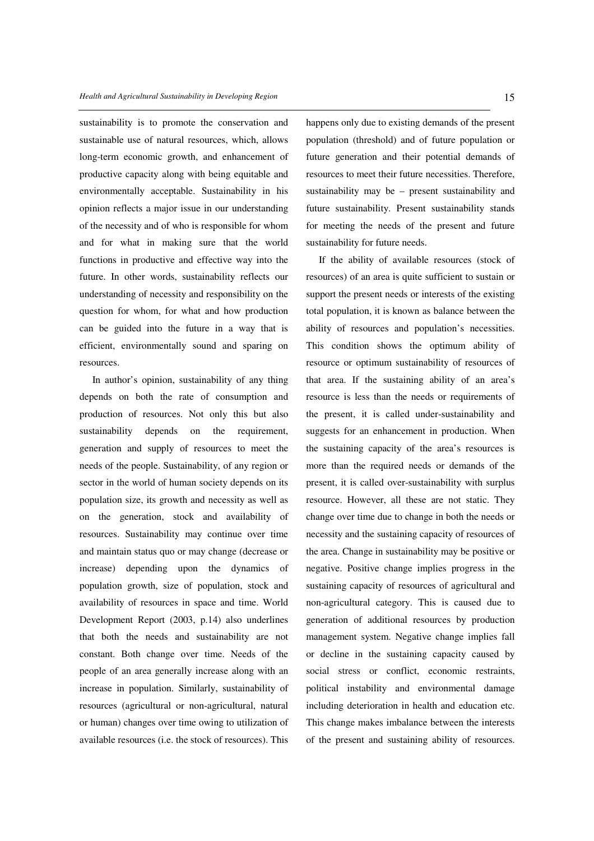sustainability is to promote the conservation and sustainable use of natural resources, which, allows long-term economic growth, and enhancement of productive capacity along with being equitable and environmentally acceptable. Sustainability in his opinion reflects a major issue in our understanding of the necessity and of who is responsible for whom and for what in making sure that the world functions in productive and effective way into the future. In other words, sustainability reflects our understanding of necessity and responsibility on the question for whom, for what and how production can be guided into the future in a way that is efficient, environmentally sound and sparing on resources.

In author's opinion, sustainability of any thing depends on both the rate of consumption and production of resources. Not only this but also sustainability depends on the requirement, generation and supply of resources to meet the needs of the people. Sustainability, of any region or sector in the world of human society depends on its population size, its growth and necessity as well as on the generation, stock and availability of resources. Sustainability may continue over time and maintain status quo or may change (decrease or increase) depending upon the dynamics of population growth, size of population, stock and availability of resources in space and time. World Development Report (2003, p.14) also underlines that both the needs and sustainability are not constant. Both change over time. Needs of the people of an area generally increase along with an increase in population. Similarly, sustainability of resources (agricultural or non-agricultural, natural or human) changes over time owing to utilization of available resources (i.e. the stock of resources). This

happens only due to existing demands of the present population (threshold) and of future population or future generation and their potential demands of resources to meet their future necessities. Therefore, sustainability may be – present sustainability and future sustainability. Present sustainability stands for meeting the needs of the present and future sustainability for future needs.

If the ability of available resources (stock of resources) of an area is quite sufficient to sustain or support the present needs or interests of the existing total population, it is known as balance between the ability of resources and population's necessities. This condition shows the optimum ability of resource or optimum sustainability of resources of that area. If the sustaining ability of an area's resource is less than the needs or requirements of the present, it is called under-sustainability and suggests for an enhancement in production. When the sustaining capacity of the area's resources is more than the required needs or demands of the present, it is called over-sustainability with surplus resource. However, all these are not static. They change over time due to change in both the needs or necessity and the sustaining capacity of resources of the area. Change in sustainability may be positive or negative. Positive change implies progress in the sustaining capacity of resources of agricultural and non-agricultural category. This is caused due to generation of additional resources by production management system. Negative change implies fall or decline in the sustaining capacity caused by social stress or conflict, economic restraints, political instability and environmental damage including deterioration in health and education etc. This change makes imbalance between the interests of the present and sustaining ability of resources.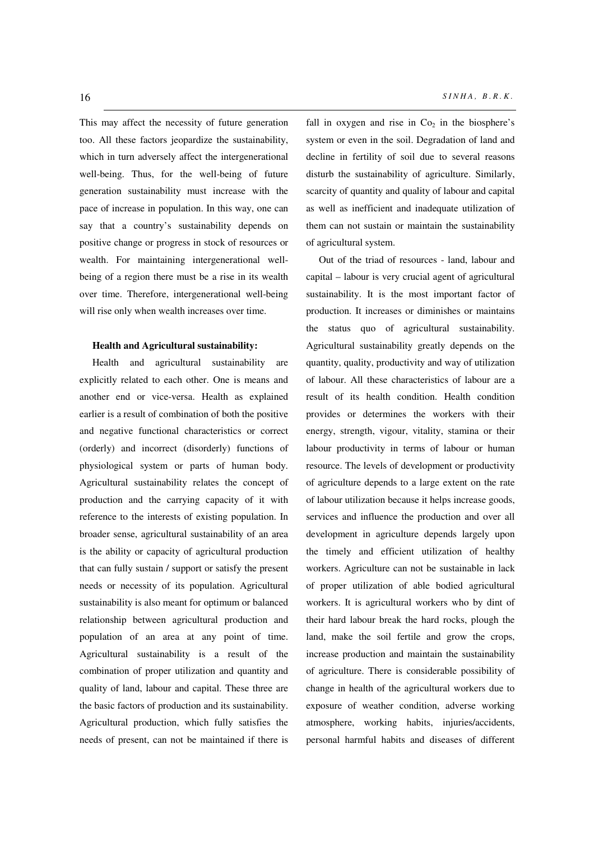This may affect the necessity of future generation too. All these factors jeopardize the sustainability, which in turn adversely affect the intergenerational well-being. Thus, for the well-being of future generation sustainability must increase with the pace of increase in population. In this way, one can say that a country's sustainability depends on positive change or progress in stock of resources or wealth. For maintaining intergenerational wellbeing of a region there must be a rise in its wealth over time. Therefore, intergenerational well-being will rise only when wealth increases over time.

## **Health and Agricultural sustainability:**

Health and agricultural sustainability are explicitly related to each other. One is means and another end or vice-versa. Health as explained earlier is a result of combination of both the positive and negative functional characteristics or correct (orderly) and incorrect (disorderly) functions of physiological system or parts of human body. Agricultural sustainability relates the concept of production and the carrying capacity of it with reference to the interests of existing population. In broader sense, agricultural sustainability of an area is the ability or capacity of agricultural production that can fully sustain / support or satisfy the present needs or necessity of its population. Agricultural sustainability is also meant for optimum or balanced relationship between agricultural production and population of an area at any point of time. Agricultural sustainability is a result of the combination of proper utilization and quantity and quality of land, labour and capital. These three are the basic factors of production and its sustainability. Agricultural production, which fully satisfies the needs of present, can not be maintained if there is

fall in oxygen and rise in  $Co<sub>2</sub>$  in the biosphere's system or even in the soil. Degradation of land and decline in fertility of soil due to several reasons disturb the sustainability of agriculture. Similarly, scarcity of quantity and quality of labour and capital as well as inefficient and inadequate utilization of them can not sustain or maintain the sustainability of agricultural system.

Out of the triad of resources - land, labour and capital – labour is very crucial agent of agricultural sustainability. It is the most important factor of production. It increases or diminishes or maintains the status quo of agricultural sustainability. Agricultural sustainability greatly depends on the quantity, quality, productivity and way of utilization of labour. All these characteristics of labour are a result of its health condition. Health condition provides or determines the workers with their energy, strength, vigour, vitality, stamina or their labour productivity in terms of labour or human resource. The levels of development or productivity of agriculture depends to a large extent on the rate of labour utilization because it helps increase goods, services and influence the production and over all development in agriculture depends largely upon the timely and efficient utilization of healthy workers. Agriculture can not be sustainable in lack of proper utilization of able bodied agricultural workers. It is agricultural workers who by dint of their hard labour break the hard rocks, plough the land, make the soil fertile and grow the crops, increase production and maintain the sustainability of agriculture. There is considerable possibility of change in health of the agricultural workers due to exposure of weather condition, adverse working atmosphere, working habits, injuries/accidents, personal harmful habits and diseases of different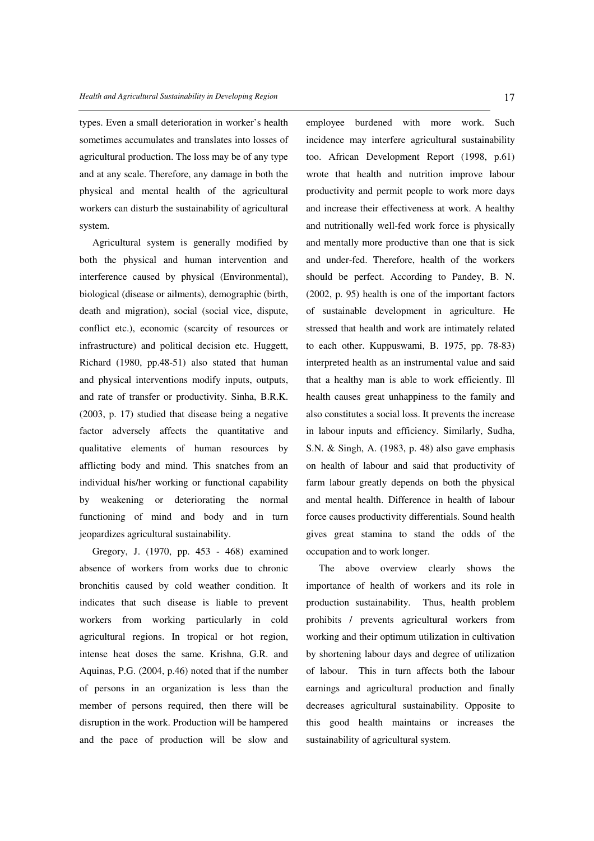types. Even a small deterioration in worker's health sometimes accumulates and translates into losses of agricultural production. The loss may be of any type and at any scale. Therefore, any damage in both the physical and mental health of the agricultural workers can disturb the sustainability of agricultural system.

Agricultural system is generally modified by both the physical and human intervention and interference caused by physical (Environmental), biological (disease or ailments), demographic (birth, death and migration), social (social vice, dispute, conflict etc.), economic (scarcity of resources or infrastructure) and political decision etc. Huggett, Richard (1980, pp.48-51) also stated that human and physical interventions modify inputs, outputs, and rate of transfer or productivity. Sinha, B.R.K. (2003, p. 17) studied that disease being a negative factor adversely affects the quantitative and qualitative elements of human resources by afflicting body and mind. This snatches from an individual his/her working or functional capability by weakening or deteriorating the normal functioning of mind and body and in turn jeopardizes agricultural sustainability.

Gregory, J. (1970, pp. 453 - 468) examined absence of workers from works due to chronic bronchitis caused by cold weather condition. It indicates that such disease is liable to prevent workers from working particularly in cold agricultural regions. In tropical or hot region, intense heat doses the same. Krishna, G.R. and Aquinas, P.G. (2004, p.46) noted that if the number of persons in an organization is less than the member of persons required, then there will be disruption in the work. Production will be hampered and the pace of production will be slow and

employee burdened with more work. Such incidence may interfere agricultural sustainability too. African Development Report (1998, p.61) wrote that health and nutrition improve labour productivity and permit people to work more days and increase their effectiveness at work. A healthy and nutritionally well-fed work force is physically and mentally more productive than one that is sick and under-fed. Therefore, health of the workers should be perfect. According to Pandey, B. N. (2002, p. 95) health is one of the important factors of sustainable development in agriculture. He stressed that health and work are intimately related to each other. Kuppuswami, B. 1975, pp. 78-83) interpreted health as an instrumental value and said that a healthy man is able to work efficiently. Ill health causes great unhappiness to the family and also constitutes a social loss. It prevents the increase in labour inputs and efficiency. Similarly, Sudha, S.N. & Singh, A. (1983, p. 48) also gave emphasis on health of labour and said that productivity of farm labour greatly depends on both the physical and mental health. Difference in health of labour force causes productivity differentials. Sound health gives great stamina to stand the odds of the occupation and to work longer.

The above overview clearly shows the importance of health of workers and its role in production sustainability. Thus, health problem prohibits / prevents agricultural workers from working and their optimum utilization in cultivation by shortening labour days and degree of utilization of labour. This in turn affects both the labour earnings and agricultural production and finally decreases agricultural sustainability. Opposite to this good health maintains or increases the sustainability of agricultural system.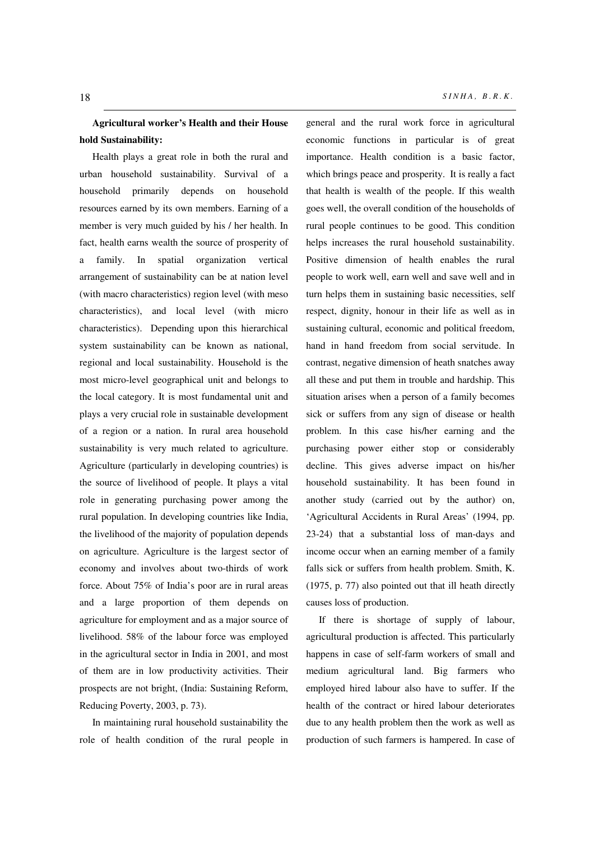## **Agricultural worker's Health and their House hold Sustainability:**

Health plays a great role in both the rural and urban household sustainability. Survival of a household primarily depends on household resources earned by its own members. Earning of a member is very much guided by his / her health. In fact, health earns wealth the source of prosperity of a family. In spatial organization vertical arrangement of sustainability can be at nation level (with macro characteristics) region level (with meso characteristics), and local level (with micro characteristics). Depending upon this hierarchical system sustainability can be known as national, regional and local sustainability. Household is the most micro-level geographical unit and belongs to the local category. It is most fundamental unit and plays a very crucial role in sustainable development of a region or a nation. In rural area household sustainability is very much related to agriculture. Agriculture (particularly in developing countries) is the source of livelihood of people. It plays a vital role in generating purchasing power among the rural population. In developing countries like India, the livelihood of the majority of population depends on agriculture. Agriculture is the largest sector of economy and involves about two-thirds of work force. About 75% of India's poor are in rural areas and a large proportion of them depends on agriculture for employment and as a major source of livelihood. 58% of the labour force was employed in the agricultural sector in India in 2001, and most of them are in low productivity activities. Their prospects are not bright, (India: Sustaining Reform, Reducing Poverty, 2003, p. 73).

In maintaining rural household sustainability the role of health condition of the rural people in

general and the rural work force in agricultural economic functions in particular is of great importance. Health condition is a basic factor, which brings peace and prosperity. It is really a fact that health is wealth of the people. If this wealth goes well, the overall condition of the households of rural people continues to be good. This condition helps increases the rural household sustainability. Positive dimension of health enables the rural people to work well, earn well and save well and in turn helps them in sustaining basic necessities, self respect, dignity, honour in their life as well as in sustaining cultural, economic and political freedom, hand in hand freedom from social servitude. In contrast, negative dimension of heath snatches away all these and put them in trouble and hardship. This situation arises when a person of a family becomes sick or suffers from any sign of disease or health problem. In this case his/her earning and the purchasing power either stop or considerably decline. This gives adverse impact on his/her household sustainability. It has been found in another study (carried out by the author) on, 'Agricultural Accidents in Rural Areas' (1994, pp. 23-24) that a substantial loss of man-days and income occur when an earning member of a family falls sick or suffers from health problem. Smith, K. (1975, p. 77) also pointed out that ill heath directly causes loss of production.

If there is shortage of supply of labour, agricultural production is affected. This particularly happens in case of self-farm workers of small and medium agricultural land. Big farmers who employed hired labour also have to suffer. If the health of the contract or hired labour deteriorates due to any health problem then the work as well as production of such farmers is hampered. In case of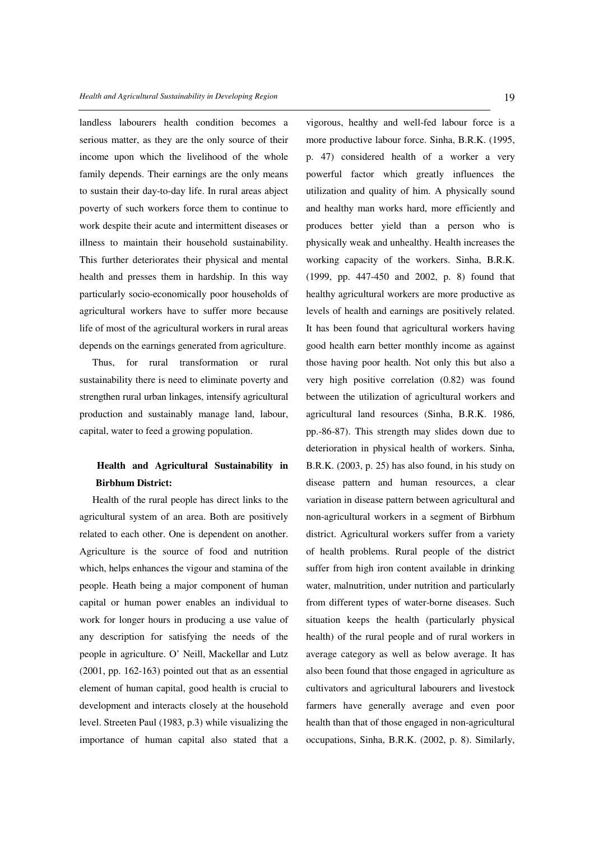landless labourers health condition becomes a serious matter, as they are the only source of their income upon which the livelihood of the whole family depends. Their earnings are the only means to sustain their day-to-day life. In rural areas abject poverty of such workers force them to continue to work despite their acute and intermittent diseases or illness to maintain their household sustainability. This further deteriorates their physical and mental health and presses them in hardship. In this way particularly socio-economically poor households of agricultural workers have to suffer more because life of most of the agricultural workers in rural areas depends on the earnings generated from agriculture.

Thus, for rural transformation or rural sustainability there is need to eliminate poverty and strengthen rural urban linkages, intensify agricultural production and sustainably manage land, labour, capital, water to feed a growing population.

# **Health and Agricultural Sustainability in Birbhum District:**

Health of the rural people has direct links to the agricultural system of an area. Both are positively related to each other. One is dependent on another. Agriculture is the source of food and nutrition which, helps enhances the vigour and stamina of the people. Heath being a major component of human capital or human power enables an individual to work for longer hours in producing a use value of any description for satisfying the needs of the people in agriculture. O' Neill, Mackellar and Lutz (2001, pp. 162-163) pointed out that as an essential element of human capital, good health is crucial to development and interacts closely at the household level. Streeten Paul (1983, p.3) while visualizing the importance of human capital also stated that a

vigorous, healthy and well-fed labour force is a more productive labour force. Sinha, B.R.K. (1995, p. 47) considered health of a worker a very powerful factor which greatly influences the utilization and quality of him. A physically sound and healthy man works hard, more efficiently and produces better yield than a person who is physically weak and unhealthy. Health increases the working capacity of the workers. Sinha, B.R.K. (1999, pp. 447-450 and 2002, p. 8) found that healthy agricultural workers are more productive as levels of health and earnings are positively related. It has been found that agricultural workers having good health earn better monthly income as against those having poor health. Not only this but also a very high positive correlation (0.82) was found between the utilization of agricultural workers and agricultural land resources (Sinha, B.R.K. 1986, pp.-86-87). This strength may slides down due to deterioration in physical health of workers. Sinha, B.R.K. (2003, p. 25) has also found, in his study on disease pattern and human resources, a clear variation in disease pattern between agricultural and non-agricultural workers in a segment of Birbhum district. Agricultural workers suffer from a variety of health problems. Rural people of the district suffer from high iron content available in drinking water, malnutrition, under nutrition and particularly from different types of water-borne diseases. Such situation keeps the health (particularly physical health) of the rural people and of rural workers in average category as well as below average. It has also been found that those engaged in agriculture as cultivators and agricultural labourers and livestock farmers have generally average and even poor health than that of those engaged in non-agricultural occupations, Sinha, B.R.K. (2002, p. 8). Similarly,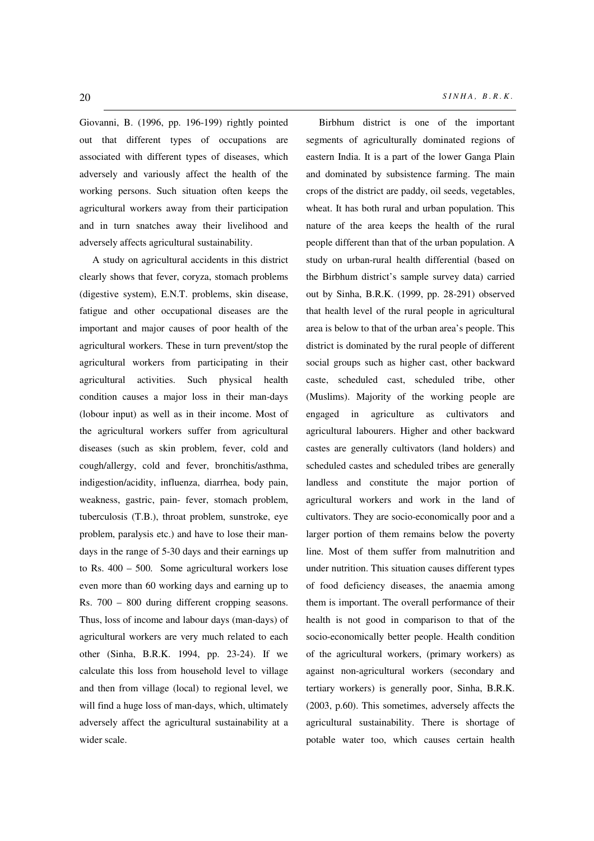Giovanni, B. (1996, pp. 196-199) rightly pointed out that different types of occupations are associated with different types of diseases, which adversely and variously affect the health of the working persons. Such situation often keeps the agricultural workers away from their participation and in turn snatches away their livelihood and adversely affects agricultural sustainability.

A study on agricultural accidents in this district clearly shows that fever, coryza, stomach problems (digestive system), E.N.T. problems, skin disease, fatigue and other occupational diseases are the important and major causes of poor health of the agricultural workers. These in turn prevent/stop the agricultural workers from participating in their agricultural activities. Such physical health condition causes a major loss in their man-days (lobour input) as well as in their income. Most of the agricultural workers suffer from agricultural diseases (such as skin problem, fever, cold and cough/allergy, cold and fever, bronchitis/asthma, indigestion/acidity, influenza, diarrhea, body pain, weakness, gastric, pain- fever, stomach problem, tuberculosis (T.B.), throat problem, sunstroke, eye problem, paralysis etc.) and have to lose their mandays in the range of 5-30 days and their earnings up to Rs. 400 – 500. Some agricultural workers lose even more than 60 working days and earning up to Rs. 700 – 800 during different cropping seasons. Thus, loss of income and labour days (man-days) of agricultural workers are very much related to each other (Sinha, B.R.K. 1994, pp. 23-24). If we calculate this loss from household level to village and then from village (local) to regional level, we will find a huge loss of man-days, which, ultimately adversely affect the agricultural sustainability at a wider scale.

Birbhum district is one of the important segments of agriculturally dominated regions of eastern India. It is a part of the lower Ganga Plain and dominated by subsistence farming. The main crops of the district are paddy, oil seeds, vegetables, wheat. It has both rural and urban population. This nature of the area keeps the health of the rural people different than that of the urban population. A study on urban-rural health differential (based on the Birbhum district's sample survey data) carried out by Sinha, B.R.K. (1999, pp. 28-291) observed that health level of the rural people in agricultural area is below to that of the urban area's people. This district is dominated by the rural people of different social groups such as higher cast, other backward caste, scheduled cast, scheduled tribe, other (Muslims). Majority of the working people are engaged in agriculture as cultivators and agricultural labourers. Higher and other backward castes are generally cultivators (land holders) and scheduled castes and scheduled tribes are generally landless and constitute the major portion of agricultural workers and work in the land of cultivators. They are socio-economically poor and a larger portion of them remains below the poverty line. Most of them suffer from malnutrition and under nutrition. This situation causes different types of food deficiency diseases, the anaemia among them is important. The overall performance of their health is not good in comparison to that of the socio-economically better people. Health condition of the agricultural workers, (primary workers) as against non-agricultural workers (secondary and tertiary workers) is generally poor, Sinha, B.R.K. (2003, p.60). This sometimes, adversely affects the agricultural sustainability. There is shortage of potable water too, which causes certain health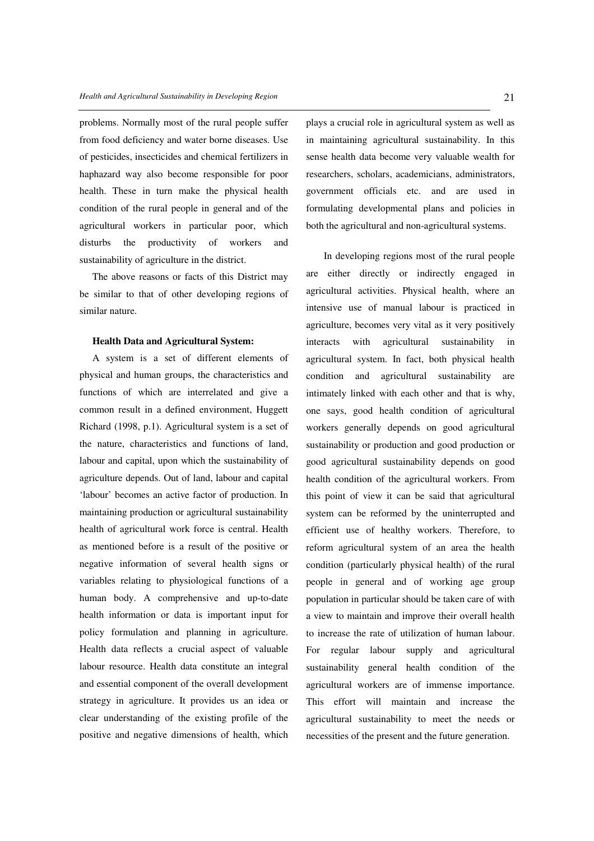problems. Normally most of the rural people suffer from food deficiency and water borne diseases. Use of pesticides, insecticides and chemical fertilizers in haphazard way also become responsible for poor health. These in turn make the physical health condition of the rural people in general and of the agricultural workers in particular poor, which disturbs the productivity of workers and sustainability of agriculture in the district.

The above reasons or facts of this District may be similar to that of other developing regions of similar nature.

#### **Health Data and Agricultural System:**

A system is a set of different elements of physical and human groups, the characteristics and functions of which are interrelated and give a common result in a defined environment, Huggett Richard (1998, p.1). Agricultural system is a set of the nature, characteristics and functions of land, labour and capital, upon which the sustainability of agriculture depends. Out of land, labour and capital 'labour' becomes an active factor of production. In maintaining production or agricultural sustainability health of agricultural work force is central. Health as mentioned before is a result of the positive or negative information of several health signs or variables relating to physiological functions of a human body. A comprehensive and up-to-date health information or data is important input for policy formulation and planning in agriculture. Health data reflects a crucial aspect of valuable labour resource. Health data constitute an integral and essential component of the overall development strategy in agriculture. It provides us an idea or clear understanding of the existing profile of the positive and negative dimensions of health, which

plays a crucial role in agricultural system as well as in maintaining agricultural sustainability. In this sense health data become very valuable wealth for researchers, scholars, academicians, administrators, government officials etc. and are used in formulating developmental plans and policies in both the agricultural and non-agricultural systems.

 In developing regions most of the rural people are either directly or indirectly engaged in agricultural activities. Physical health, where an intensive use of manual labour is practiced in agriculture, becomes very vital as it very positively interacts with agricultural sustainability in agricultural system. In fact, both physical health condition and agricultural sustainability are intimately linked with each other and that is why, one says, good health condition of agricultural workers generally depends on good agricultural sustainability or production and good production or good agricultural sustainability depends on good health condition of the agricultural workers. From this point of view it can be said that agricultural system can be reformed by the uninterrupted and efficient use of healthy workers. Therefore, to reform agricultural system of an area the health condition (particularly physical health) of the rural people in general and of working age group population in particular should be taken care of with a view to maintain and improve their overall health to increase the rate of utilization of human labour. For regular labour supply and agricultural sustainability general health condition of the agricultural workers are of immense importance. This effort will maintain and increase the agricultural sustainability to meet the needs or necessities of the present and the future generation.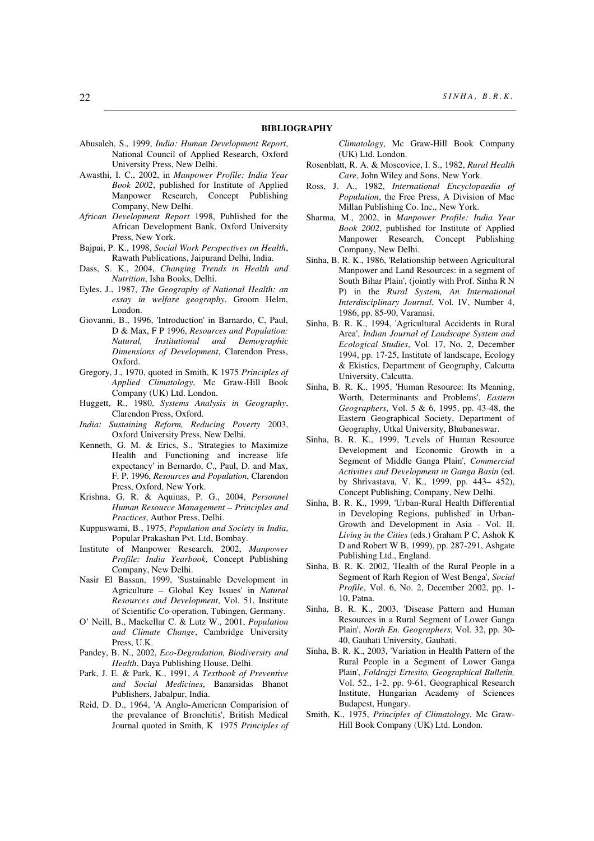#### **BIBLIOGRAPHY**

- Abusaleh, S., 1999, *India: Human Development Report*, National Council of Applied Research, Oxford University Press, New Delhi.
- Awasthi, I. C., 2002, in *Manpower Profile: India Year Book 2002*, published for Institute of Applied Manpower Research, Concept Publishing Company, New Delhi.
- *African Development Report* 1998, Published for the African Development Bank, Oxford University Press, New York.
- Bajpai, P. K., 1998, *Social Work Perspectives on Health*, Rawath Publications, Jaipurand Delhi, India.
- Dass, S. K., 2004, *Changing Trends in Health and Nutrition*, Isha Books, Delhi.
- Eyles, J., 1987, *The Geography of National Health: an essay in welfare geography*, Groom Helm, London.
- Giovanni, B., 1996, 'Introduction' in Barnardo, C, Paul, D & Max, F P 1996, *Resources and Population: Natural, Institutional and Demographic Dimensions of Development*, Clarendon Press, Oxford.
- Gregory, J., 1970, quoted in Smith, K 1975 *Principles of Applied Climatology*, Mc Graw-Hill Book Company (UK) Ltd. London.
- Huggett, R., 1980, *Systems Analysis in Geography*, Clarendon Press, Oxford.
- *India: Sustaining Reform, Reducing Poverty* 2003, Oxford University Press, New Delhi.
- Kenneth, G. M. & Erics, S., 'Strategies to Maximize Health and Functioning and increase life expectancy' in Bernardo, C., Paul, D. and Max, F. P. 1996, *Resources and Population*, Clarendon Press, Oxford, New York.
- Krishna, G. R. & Aquinas, P. G., 2004, *Personnel Human Resource Management – Principles and Practices*, Author Press, Delhi.
- Kuppuswami, B., 1975, *Population and Society in India*, Popular Prakashan Pvt. Ltd, Bombay.
- Institute of Manpower Research, 2002, *Manpower Profile: India Yearbook*, Concept Publishing Company, New Delhi.
- Nasir El Bassan, 1999, 'Sustainable Development in Agriculture – Global Key Issues' in *Natural Resources and Development*, Vol. 51, Institute of Scientific Co-operation, Tubingen, Germany.
- O' Neill, B., Mackellar C. & Lutz W., 2001, *Population and Climate Change*, Cambridge University Press, U.K.
- Pandey, B. N., 2002, *Eco-Degradation, Biodiversity and Health*, Daya Publishing House, Delhi.
- Park, J. E. & Park, K., 1991, *A Textbook of Preventive and Social Medicines*, Banarsidas Bhanot Publishers, Jabalpur, India.
- Reid, D. D., 1964, 'A Anglo-American Comparision of the prevalance of Bronchitis', British Medical Journal quoted in Smith, K 1975 *Principles of*

*Climatology*, Mc Graw-Hill Book Company (UK) Ltd. London.

- Rosenblatt, R. A. & Moscovice, I. S., 1982, *Rural Health Care*, John Wiley and Sons, New York.
- Ross, J. A., 1982, *International Encyclopaedia of Population*, the Free Press, A Division of Mac Millan Publishing Co. Inc., New York.
- Sharma, M., 2002, in *Manpower Profile: India Year Book 2002*, published for Institute of Applied Manpower Research, Concept Publishing Company, New Delhi.
- Sinha, B. R. K., 1986, 'Relationship between Agricultural Manpower and Land Resources: in a segment of South Bihar Plain', (jointly with Prof. Sinha R N P) in the *Rural System, An International Interdisciplinary Journal*, Vol. IV, Number 4, 1986, pp. 85-90, Varanasi.
- Sinha, B. R. K., 1994, 'Agricultural Accidents in Rural Area', *Indian Journal of Landscape System and Ecological Studies*, Vol. 17, No. 2, December 1994, pp. 17-25, Institute of landscape, Ecology & Ekistics, Department of Geography, Calcutta University, Calcutta.
- Sinha, B. R. K., 1995, 'Human Resource: Its Meaning, Worth, Determinants and Problems', *Eastern Geographers*, Vol. 5 & 6, 1995, pp. 43-48, the Eastern Geographical Society, Department of Geography, Utkal University, Bhubaneswar.
- Sinha, B. R. K., 1999, 'Levels of Human Resource Development and Economic Growth in a Segment of Middle Ganga Plain', *Commercial Activities and Development in Ganga Basin* (ed. by Shrivastava, V. K., 1999, pp. 443– 452), Concept Publishing, Company, New Delhi.
- Sinha, B. R. K., 1999, 'Urban-Rural Health Differential in Developing Regions, published' in Urban-Growth and Development in Asia - Vol. II. *Living in the Cities* (eds.) Graham P C, Ashok K D and Robert W B, 1999), pp. 287-291, Ashgate Publishing Ltd., England.
- Sinha, B. R. K. 2002, 'Health of the Rural People in a Segment of Rarh Region of West Benga', *Social Profile*, Vol. 6, No. 2, December 2002, pp. 1- 10, Patna.
- Sinha, B. R. K., 2003, 'Disease Pattern and Human Resources in a Rural Segment of Lower Ganga Plain', *North En. Geographers*, Vol. 32, pp. 30- 40, Gauhati University, Gauhati.
- Sinha, B. R. K., 2003, 'Variation in Health Pattern of the Rural People in a Segment of Lower Ganga Plain', *Foldrajzi Ertesito, Geographical Bulletin,*  Vol. 52., 1-2, pp. 9-61, Geographical Research Institute, Hungarian Academy of Sciences Budapest, Hungary.
- Smith, K., 1975, *Principles of Climatology*, Mc Graw-Hill Book Company (UK) Ltd. London.